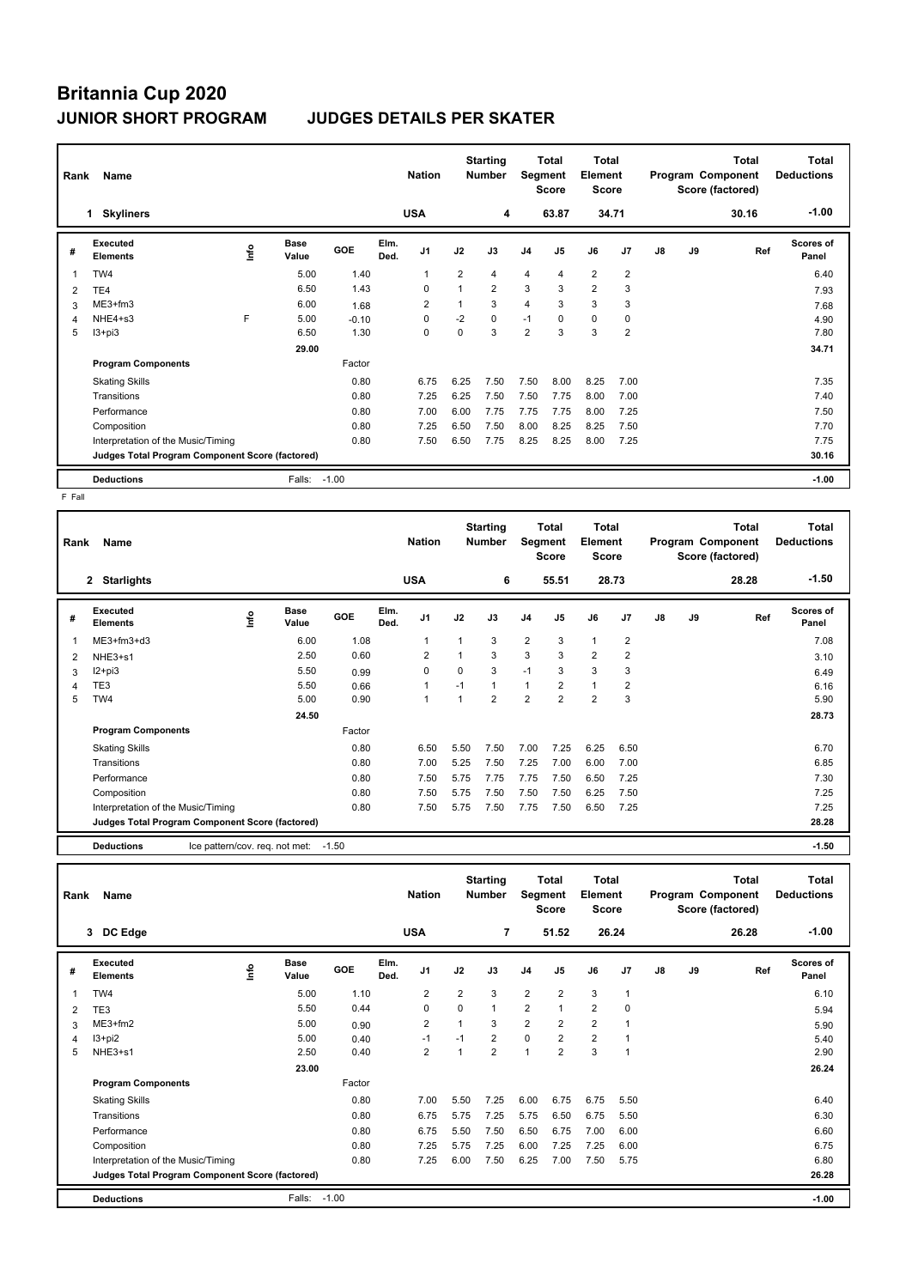# **Britannia Cup 2020 JUNIOR SHORT PROGRAM JUDGES DETAILS PER SKATER**

| Rank | Name                                            |    |                      | <b>Nation</b> |              | <b>Starting</b><br><b>Number</b> | Segment        | Total<br><b>Score</b> | <b>Total</b><br><b>Element</b><br><b>Score</b> |                |                |                | <b>Total</b><br>Program Component<br>Score (factored) | <b>Total</b><br><b>Deductions</b> |       |                           |
|------|-------------------------------------------------|----|----------------------|---------------|--------------|----------------------------------|----------------|-----------------------|------------------------------------------------|----------------|----------------|----------------|-------------------------------------------------------|-----------------------------------|-------|---------------------------|
|      | <b>Skyliners</b><br>1.                          |    |                      |               |              | <b>USA</b>                       |                | 4                     |                                                | 63.87          |                | 34.71          |                                                       |                                   | 30.16 | $-1.00$                   |
| #    | Executed<br><b>Elements</b>                     | ۴ů | <b>Base</b><br>Value | GOE           | Elm.<br>Ded. | J <sub>1</sub>                   | J2             | J3                    | J <sub>4</sub>                                 | J5             | J6             | J <sub>7</sub> | J8                                                    | J9                                | Ref   | <b>Scores of</b><br>Panel |
| 1    | TW4                                             |    | 5.00                 | 1.40          |              | 1                                | $\overline{2}$ | 4                     | 4                                              | $\overline{4}$ | $\overline{2}$ | $\overline{2}$ |                                                       |                                   |       | 6.40                      |
| 2    | TE4                                             |    | 6.50                 | 1.43          |              | 0                                | $\mathbf 1$    | $\overline{2}$        | 3                                              | 3              | $\overline{2}$ | 3              |                                                       |                                   |       | 7.93                      |
| 3    | ME3+fm3                                         |    | 6.00                 | 1.68          |              | $\overline{2}$                   |                | 3                     | $\overline{4}$                                 | 3              | 3              | 3              |                                                       |                                   |       | 7.68                      |
| 4    | NHE4+s3                                         | F  | 5.00                 | $-0.10$       |              | 0                                | $-2$           | $\Omega$              | $-1$                                           | $\Omega$       | $\mathbf 0$    | 0              |                                                       |                                   |       | 4.90                      |
| 5    | $13 + pi3$                                      |    | 6.50                 | 1.30          |              | 0                                | $\mathbf 0$    | 3                     | 2                                              | 3              | 3              | $\overline{2}$ |                                                       |                                   |       | 7.80                      |
|      |                                                 |    | 29.00                |               |              |                                  |                |                       |                                                |                |                |                |                                                       |                                   |       | 34.71                     |
|      | <b>Program Components</b>                       |    |                      | Factor        |              |                                  |                |                       |                                                |                |                |                |                                                       |                                   |       |                           |
|      | <b>Skating Skills</b>                           |    |                      | 0.80          |              | 6.75                             | 6.25           | 7.50                  | 7.50                                           | 8.00           | 8.25           | 7.00           |                                                       |                                   |       | 7.35                      |
|      | Transitions                                     |    |                      | 0.80          |              | 7.25                             | 6.25           | 7.50                  | 7.50                                           | 7.75           | 8.00           | 7.00           |                                                       |                                   |       | 7.40                      |
|      | Performance                                     |    |                      | 0.80          |              | 7.00                             | 6.00           | 7.75                  | 7.75                                           | 7.75           | 8.00           | 7.25           |                                                       |                                   |       | 7.50                      |
|      | Composition                                     |    |                      | 0.80          |              | 7.25                             | 6.50           | 7.50                  | 8.00                                           | 8.25           | 8.25           | 7.50           |                                                       |                                   |       | 7.70                      |
|      | Interpretation of the Music/Timing              |    |                      | 0.80          |              | 7.50                             | 6.50           | 7.75                  | 8.25                                           | 8.25           | 8.00           | 7.25           |                                                       |                                   |       | 7.75                      |
|      | Judges Total Program Component Score (factored) |    |                      |               |              |                                  |                |                       |                                                |                |                |                |                                                       |                                   |       | 30.16                     |
|      | <b>Deductions</b>                               |    | Falls:               | $-1.00$       |              |                                  |                |                       |                                                |                |                |                |                                                       |                                   |       | $-1.00$                   |

 $F$  Fall

| Rank | Name                                                |      | <b>Nation</b>        |         | <b>Starting</b><br><b>Number</b> | Segment        | Total<br><b>Score</b> | Total<br>Element<br><b>Score</b> |                |                |                | Total<br>Program Component<br>Score (factored) | <b>Total</b><br><b>Deductions</b> |    |       |                    |
|------|-----------------------------------------------------|------|----------------------|---------|----------------------------------|----------------|-----------------------|----------------------------------|----------------|----------------|----------------|------------------------------------------------|-----------------------------------|----|-------|--------------------|
|      | 2<br><b>Starlights</b>                              |      |                      |         |                                  | <b>USA</b>     |                       | 6                                |                | 55.51          |                | 28.73                                          |                                   |    | 28.28 | $-1.50$            |
| #    | Executed<br><b>Elements</b>                         | ١nfo | <b>Base</b><br>Value | GOE     | Elm.<br>Ded.                     | J <sub>1</sub> | J2                    | J3                               | J <sub>4</sub> | J <sub>5</sub> | J6             | J7                                             | J8                                | J9 | Ref   | Scores of<br>Panel |
|      | ME3+fm3+d3                                          |      | 6.00                 | 1.08    |                                  | $\mathbf{1}$   |                       | 3                                | $\overline{2}$ | 3              | $\mathbf{1}$   | $\overline{2}$                                 |                                   |    |       | 7.08               |
| 2    | NHE3+s1                                             |      | 2.50                 | 0.60    |                                  | $\overline{2}$ |                       | 3                                | 3              | 3              | $\overline{2}$ | 2                                              |                                   |    |       | 3.10               |
| 3    | I2+pi3                                              |      | 5.50                 | 0.99    |                                  | $\mathbf 0$    | $\Omega$              | 3                                | $-1$           | 3              | 3              | 3                                              |                                   |    |       | 6.49               |
| 4    | TE3                                                 |      | 5.50                 | 0.66    |                                  | 1              | $-1$                  | $\mathbf{1}$                     | $\mathbf{1}$   | $\overline{2}$ | $\mathbf{1}$   | 2                                              |                                   |    |       | 6.16               |
| 5    | TW4                                                 |      | 5.00                 | 0.90    |                                  | $\mathbf{1}$   | 1                     | 2                                | $\overline{2}$ | $\overline{2}$ | $\overline{2}$ | 3                                              |                                   |    |       | 5.90               |
|      |                                                     |      | 24.50                |         |                                  |                |                       |                                  |                |                |                |                                                |                                   |    |       | 28.73              |
|      | <b>Program Components</b>                           |      |                      | Factor  |                                  |                |                       |                                  |                |                |                |                                                |                                   |    |       |                    |
|      | <b>Skating Skills</b>                               |      |                      | 0.80    |                                  | 6.50           | 5.50                  | 7.50                             | 7.00           | 7.25           | 6.25           | 6.50                                           |                                   |    |       | 6.70               |
|      | Transitions                                         |      |                      | 0.80    |                                  | 7.00           | 5.25                  | 7.50                             | 7.25           | 7.00           | 6.00           | 7.00                                           |                                   |    |       | 6.85               |
|      | Performance                                         |      |                      | 0.80    |                                  | 7.50           | 5.75                  | 7.75                             | 7.75           | 7.50           | 6.50           | 7.25                                           |                                   |    |       | 7.30               |
|      | Composition                                         |      |                      | 0.80    |                                  | 7.50           | 5.75                  | 7.50                             | 7.50           | 7.50           | 6.25           | 7.50                                           |                                   |    |       | 7.25               |
|      | Interpretation of the Music/Timing                  |      |                      | 0.80    |                                  | 7.50           | 5.75                  | 7.50                             | 7.75           | 7.50           | 6.50           | 7.25                                           |                                   |    |       | 7.25               |
|      | Judges Total Program Component Score (factored)     |      |                      |         |                                  |                |                       |                                  |                |                |                |                                                |                                   |    |       | 28.28              |
|      | <b>Deductions</b><br>Ice pattern/cov. reg. not met: |      |                      | $-1.50$ |                                  |                |                       |                                  |                |                |                |                                                |                                   |    |       | $-1.50$            |

| Rank | Name                                            |      |               |         |              | <b>Nation</b>  |                | <b>Starting</b><br><b>Number</b> |                | Total<br>Segment<br><b>Score</b> | Total<br>Element<br><b>Score</b> |                |    |    | <b>Total</b><br>Program Component<br>Score (factored) | Total<br><b>Deductions</b> |
|------|-------------------------------------------------|------|---------------|---------|--------------|----------------|----------------|----------------------------------|----------------|----------------------------------|----------------------------------|----------------|----|----|-------------------------------------------------------|----------------------------|
|      | 3 DC Edge                                       |      |               |         |              | <b>USA</b>     |                | $\overline{7}$                   |                | 51.52                            |                                  | 26.24          |    |    | 26.28                                                 | $-1.00$                    |
| #    | Executed<br><b>Elements</b>                     | ١nf٥ | Base<br>Value | GOE     | Elm.<br>Ded. | J <sub>1</sub> | J2             | J3                               | J <sub>4</sub> | J5                               | J6                               | J <sub>7</sub> | J8 | J9 | Ref                                                   | Scores of<br>Panel         |
| 1    | TW4                                             |      | 5.00          | 1.10    |              | $\overline{2}$ | $\overline{2}$ | 3                                | $\overline{2}$ | $\overline{2}$                   | 3                                | $\overline{1}$ |    |    |                                                       | 6.10                       |
| 2    | TE3                                             |      | 5.50          | 0.44    |              | 0              | 0              | $\mathbf{1}$                     | $\overline{2}$ | 1                                | $\overline{2}$                   | 0              |    |    |                                                       | 5.94                       |
| 3    | ME3+fm2                                         |      | 5.00          | 0.90    |              | $\overline{2}$ | 1              | 3                                | $\overline{2}$ | $\overline{2}$                   | $\overline{2}$                   |                |    |    |                                                       | 5.90                       |
| 4    | I3+pi2                                          |      | 5.00          | 0.40    |              | $-1$           | $-1$           | $\overline{2}$                   | $\mathbf 0$    | $\overline{2}$                   | $\overline{2}$                   |                |    |    |                                                       | 5.40                       |
| 5    | NHE3+s1                                         |      | 2.50          | 0.40    |              | $\overline{2}$ | $\mathbf{1}$   | $\overline{2}$                   | $\overline{1}$ | $\overline{2}$                   | 3                                |                |    |    |                                                       | 2.90                       |
|      |                                                 |      | 23.00         |         |              |                |                |                                  |                |                                  |                                  |                |    |    |                                                       | 26.24                      |
|      | <b>Program Components</b>                       |      |               | Factor  |              |                |                |                                  |                |                                  |                                  |                |    |    |                                                       |                            |
|      | <b>Skating Skills</b>                           |      |               | 0.80    |              | 7.00           | 5.50           | 7.25                             | 6.00           | 6.75                             | 6.75                             | 5.50           |    |    |                                                       | 6.40                       |
|      | Transitions                                     |      |               | 0.80    |              | 6.75           | 5.75           | 7.25                             | 5.75           | 6.50                             | 6.75                             | 5.50           |    |    |                                                       | 6.30                       |
|      | Performance                                     |      |               | 0.80    |              | 6.75           | 5.50           | 7.50                             | 6.50           | 6.75                             | 7.00                             | 6.00           |    |    |                                                       | 6.60                       |
|      | Composition                                     |      |               | 0.80    |              | 7.25           | 5.75           | 7.25                             | 6.00           | 7.25                             | 7.25                             | 6.00           |    |    |                                                       | 6.75                       |
|      | Interpretation of the Music/Timing              |      |               | 0.80    |              | 7.25           | 6.00           | 7.50                             | 6.25           | 7.00                             | 7.50                             | 5.75           |    |    |                                                       | 6.80                       |
|      | Judges Total Program Component Score (factored) |      |               |         |              |                |                |                                  |                |                                  |                                  |                |    |    |                                                       | 26.28                      |
|      | <b>Deductions</b>                               |      | Falls:        | $-1.00$ |              |                |                |                                  |                |                                  |                                  |                |    |    |                                                       | $-1.00$                    |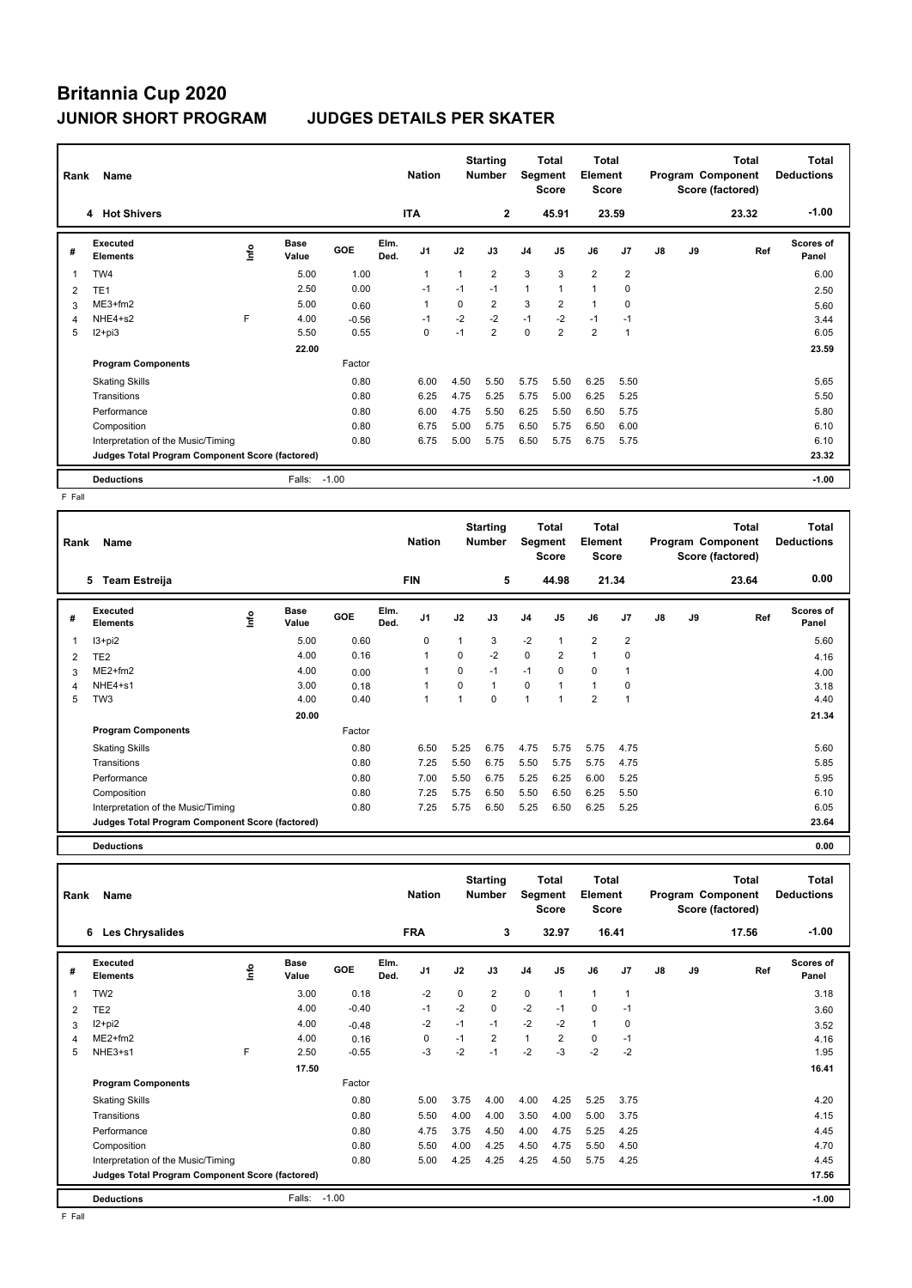# **Britannia Cup 2020 JUNIOR SHORT PROGRAM JUDGES DETAILS PER SKATER**

| Rank           | Name                                            |    |                      | <b>Nation</b> |              | <b>Starting</b><br><b>Number</b> | Segment  | Total<br><b>Score</b> | Total<br>Element<br><b>Score</b> |                |                |                | Total<br>Program Component<br>Score (factored) | <b>Total</b><br><b>Deductions</b> |       |                           |
|----------------|-------------------------------------------------|----|----------------------|---------------|--------------|----------------------------------|----------|-----------------------|----------------------------------|----------------|----------------|----------------|------------------------------------------------|-----------------------------------|-------|---------------------------|
|                | 4 Hot Shivers                                   |    |                      |               |              | <b>ITA</b>                       |          | $\mathbf{2}$          |                                  | 45.91          |                | 23.59          |                                                |                                   | 23.32 | $-1.00$                   |
| #              | Executed<br><b>Elements</b>                     | ۴ů | <b>Base</b><br>Value | GOE           | Elm.<br>Ded. | J <sub>1</sub>                   | J2       | J3                    | J <sub>4</sub>                   | J5             | J6             | J7             | J8                                             | J9                                | Ref   | <b>Scores of</b><br>Panel |
| 1              | TW4                                             |    | 5.00                 | 1.00          |              | $\overline{1}$                   | 1        | $\overline{2}$        | 3                                | 3              | $\overline{2}$ | $\overline{2}$ |                                                |                                   |       | 6.00                      |
| $\overline{2}$ | TE <sub>1</sub>                                 |    | 2.50                 | 0.00          |              | $-1$                             | $-1$     | $-1$                  | $\mathbf{1}$                     |                | $\mathbf{1}$   | 0              |                                                |                                   |       | 2.50                      |
| 3              | ME3+fm2                                         |    | 5.00                 | 0.60          |              | 1                                | $\Omega$ | $\overline{2}$        | 3                                | $\overline{2}$ | $\mathbf{1}$   | 0              |                                                |                                   |       | 5.60                      |
| 4              | NHE4+s2                                         | E  | 4.00                 | $-0.56$       |              | $-1$                             | $-2$     | $-2$                  | $-1$                             | $-2$           | $-1$           | $-1$           |                                                |                                   |       | 3.44                      |
| 5              | $12+pi3$                                        |    | 5.50                 | 0.55          |              | $\mathbf 0$                      | $-1$     | $\overline{2}$        | 0                                | $\overline{2}$ | $\overline{2}$ | $\overline{1}$ |                                                |                                   |       | 6.05                      |
|                |                                                 |    | 22.00                |               |              |                                  |          |                       |                                  |                |                |                |                                                |                                   |       | 23.59                     |
|                | <b>Program Components</b>                       |    |                      | Factor        |              |                                  |          |                       |                                  |                |                |                |                                                |                                   |       |                           |
|                | <b>Skating Skills</b>                           |    |                      | 0.80          |              | 6.00                             | 4.50     | 5.50                  | 5.75                             | 5.50           | 6.25           | 5.50           |                                                |                                   |       | 5.65                      |
|                | Transitions                                     |    |                      | 0.80          |              | 6.25                             | 4.75     | 5.25                  | 5.75                             | 5.00           | 6.25           | 5.25           |                                                |                                   |       | 5.50                      |
|                | Performance                                     |    |                      | 0.80          |              | 6.00                             | 4.75     | 5.50                  | 6.25                             | 5.50           | 6.50           | 5.75           |                                                |                                   |       | 5.80                      |
|                | Composition                                     |    |                      | 0.80          |              | 6.75                             | 5.00     | 5.75                  | 6.50                             | 5.75           | 6.50           | 6.00           |                                                |                                   |       | 6.10                      |
|                | Interpretation of the Music/Timing              |    |                      | 0.80          |              | 6.75                             | 5.00     | 5.75                  | 6.50                             | 5.75           | 6.75           | 5.75           |                                                |                                   |       | 6.10                      |
|                | Judges Total Program Component Score (factored) |    |                      |               |              |                                  |          |                       |                                  |                |                |                |                                                |                                   |       | 23.32                     |
|                | <b>Deductions</b>                               |    | Falls:               | $-1.00$       |              |                                  |          |                       |                                  |                |                |                |                                                |                                   |       | $-1.00$                   |

 $F$  Fall

| Rank | Name                                            |      | <b>Nation</b>        |        | <b>Starting</b><br><b>Number</b> | Segment        | Total<br><b>Score</b> | <b>Total</b><br>Element<br><b>Score</b> |                |                |                | <b>Total</b><br>Program Component<br>Score (factored) | <b>Total</b><br><b>Deductions</b> |    |       |                    |
|------|-------------------------------------------------|------|----------------------|--------|----------------------------------|----------------|-----------------------|-----------------------------------------|----------------|----------------|----------------|-------------------------------------------------------|-----------------------------------|----|-------|--------------------|
|      | 5<br><b>Team Estreija</b>                       |      |                      |        |                                  | <b>FIN</b>     |                       | 5                                       |                | 44.98          |                | 21.34                                                 |                                   |    | 23.64 | 0.00               |
| #    | Executed<br><b>Elements</b>                     | ١nfo | <b>Base</b><br>Value | GOE    | Elm.<br>Ded.                     | J <sub>1</sub> | J2                    | J3                                      | J <sub>4</sub> | J <sub>5</sub> | J6             | J7                                                    | J8                                | J9 | Ref   | Scores of<br>Panel |
| 1    | $13 + pi2$                                      |      | 5.00                 | 0.60   |                                  | 0              | 1                     | 3                                       | $-2$           | $\mathbf{1}$   | $\overline{2}$ | $\overline{2}$                                        |                                   |    |       | 5.60               |
| 2    | TE <sub>2</sub>                                 |      | 4.00                 | 0.16   |                                  | -1             | 0                     | $-2$                                    | $\mathbf 0$    | 2              | $\mathbf{1}$   | 0                                                     |                                   |    |       | 4.16               |
| 3    | $ME2+fm2$                                       |      | 4.00                 | 0.00   |                                  | -1             | $\Omega$              | $-1$                                    | $-1$           | 0              | $\mathbf 0$    | 1                                                     |                                   |    |       | 4.00               |
| 4    | NHE4+s1                                         |      | 3.00                 | 0.18   |                                  | 1              | 0                     | $\mathbf{1}$                            | $\mathbf 0$    | $\mathbf{1}$   | $\mathbf{1}$   | $\mathbf 0$                                           |                                   |    |       | 3.18               |
| 5    | TW <sub>3</sub>                                 |      | 4.00                 | 0.40   |                                  | $\mathbf{1}$   | 1                     | 0                                       | $\overline{1}$ | $\overline{1}$ | $\overline{2}$ | $\overline{1}$                                        |                                   |    |       | 4.40               |
|      |                                                 |      | 20.00                |        |                                  |                |                       |                                         |                |                |                |                                                       |                                   |    |       | 21.34              |
|      | <b>Program Components</b>                       |      |                      | Factor |                                  |                |                       |                                         |                |                |                |                                                       |                                   |    |       |                    |
|      | <b>Skating Skills</b>                           |      |                      | 0.80   |                                  | 6.50           | 5.25                  | 6.75                                    | 4.75           | 5.75           | 5.75           | 4.75                                                  |                                   |    |       | 5.60               |
|      | Transitions                                     |      |                      | 0.80   |                                  | 7.25           | 5.50                  | 6.75                                    | 5.50           | 5.75           | 5.75           | 4.75                                                  |                                   |    |       | 5.85               |
|      | Performance                                     |      |                      | 0.80   |                                  | 7.00           | 5.50                  | 6.75                                    | 5.25           | 6.25           | 6.00           | 5.25                                                  |                                   |    |       | 5.95               |
|      | Composition                                     |      |                      | 0.80   |                                  | 7.25           | 5.75                  | 6.50                                    | 5.50           | 6.50           | 6.25           | 5.50                                                  |                                   |    |       | 6.10               |
|      | Interpretation of the Music/Timing              |      |                      | 0.80   |                                  | 7.25           | 5.75                  | 6.50                                    | 5.25           | 6.50           | 6.25           | 5.25                                                  |                                   |    |       | 6.05               |
|      | Judges Total Program Component Score (factored) |      |                      |        |                                  |                |                       |                                         |                |                |                |                                                       |                                   |    |       | 23.64              |
|      | <b>Deductions</b>                               |      |                      |        |                                  |                |                       |                                         |                |                |                |                                                       |                                   |    |       | 0.00               |

| Rank | Name                                            |      |                      |         | <b>Nation</b> |                | <b>Starting</b><br><b>Number</b> | Segment        | Total<br><b>Score</b> | Total<br>Element<br><b>Score</b> |          |                |    | <b>Total</b><br>Program Component<br>Score (factored) | Total<br><b>Deductions</b> |                    |
|------|-------------------------------------------------|------|----------------------|---------|---------------|----------------|----------------------------------|----------------|-----------------------|----------------------------------|----------|----------------|----|-------------------------------------------------------|----------------------------|--------------------|
|      | <b>Les Chrysalides</b><br>6                     |      |                      |         |               | <b>FRA</b>     |                                  | 3              |                       | 32.97                            |          | 16.41          |    |                                                       | 17.56                      | $-1.00$            |
| #    | Executed<br><b>Elements</b>                     | ١nf٥ | <b>Base</b><br>Value | GOE     | Elm.<br>Ded.  | J <sub>1</sub> | J2                               | J3             | J <sub>4</sub>        | J <sub>5</sub>                   | J6       | J <sub>7</sub> | J8 | J9                                                    | Ref                        | Scores of<br>Panel |
| 1    | TW <sub>2</sub>                                 |      | 3.00                 | 0.18    |               | $-2$           | 0                                | $\overline{2}$ | $\mathbf 0$           | $\mathbf{1}$                     | 1        | 1              |    |                                                       |                            | 3.18               |
| 2    | TE <sub>2</sub>                                 |      | 4.00                 | $-0.40$ |               | $-1$           | $-2$                             | $\mathbf 0$    | $-2$                  | $-1$                             | 0        | $-1$           |    |                                                       |                            | 3.60               |
| 3    | $12+pi2$                                        |      | 4.00                 | $-0.48$ |               | $-2$           | $-1$                             | $-1$           | $-2$                  | $-2$                             | 1        | 0              |    |                                                       |                            | 3.52               |
| 4    | $ME2+fm2$                                       |      | 4.00                 | 0.16    |               | $\Omega$       | $-1$                             | $\overline{2}$ | $\mathbf{1}$          | $\overline{2}$                   | $\Omega$ | $-1$           |    |                                                       |                            | 4.16               |
| 5    | NHE3+s1                                         | E    | 2.50                 | $-0.55$ |               | $-3$           | $-2$                             | $-1$           | $-2$                  | $-3$                             | $-2$     | $-2$           |    |                                                       |                            | 1.95               |
|      |                                                 |      | 17.50                |         |               |                |                                  |                |                       |                                  |          |                |    |                                                       |                            | 16.41              |
|      | <b>Program Components</b>                       |      |                      | Factor  |               |                |                                  |                |                       |                                  |          |                |    |                                                       |                            |                    |
|      | <b>Skating Skills</b>                           |      |                      | 0.80    |               | 5.00           | 3.75                             | 4.00           | 4.00                  | 4.25                             | 5.25     | 3.75           |    |                                                       |                            | 4.20               |
|      | Transitions                                     |      |                      | 0.80    |               | 5.50           | 4.00                             | 4.00           | 3.50                  | 4.00                             | 5.00     | 3.75           |    |                                                       |                            | 4.15               |
|      | Performance                                     |      |                      | 0.80    |               | 4.75           | 3.75                             | 4.50           | 4.00                  | 4.75                             | 5.25     | 4.25           |    |                                                       |                            | 4.45               |
|      | Composition                                     |      |                      | 0.80    |               | 5.50           | 4.00                             | 4.25           | 4.50                  | 4.75                             | 5.50     | 4.50           |    |                                                       |                            | 4.70               |
|      | Interpretation of the Music/Timing              |      |                      | 0.80    |               | 5.00           | 4.25                             | 4.25           | 4.25                  | 4.50                             | 5.75     | 4.25           |    |                                                       |                            | 4.45               |
|      | Judges Total Program Component Score (factored) |      |                      |         |               |                |                                  |                |                       |                                  |          |                |    |                                                       |                            | 17.56              |
|      | <b>Deductions</b>                               |      | Falls:               | $-1.00$ |               |                |                                  |                |                       |                                  |          |                |    |                                                       |                            | $-1.00$            |

F Fall